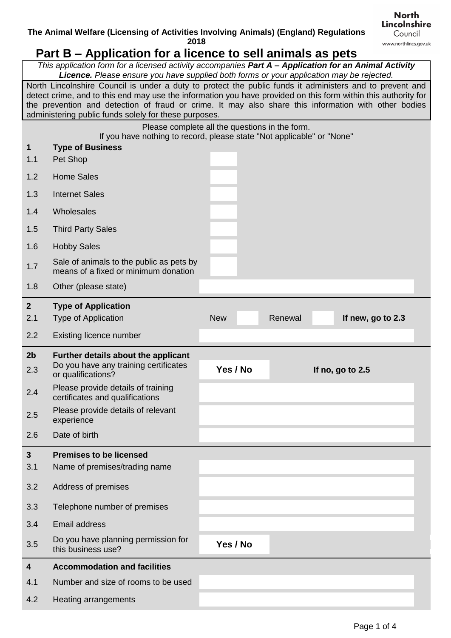## **Part B – Application for a licence to sell animals as pets**

*This application form for a licensed activity accompanies Part A – Application for an Animal Activity Licence. Please ensure you have supplied both forms or your application may be rejected.*

North Lincolnshire Council is under a duty to protect the public funds it administers and to prevent and detect crime, and to this end may use the information you have provided on this form within this authority for the prevention and detection of fraud or crime. It may also share this information with other bodies administering public funds solely for these purposes.

|                | Please complete all the questions in the form.<br>If you have nothing to record, please state "Not applicable" or "None" |            |         |  |                   |  |
|----------------|--------------------------------------------------------------------------------------------------------------------------|------------|---------|--|-------------------|--|
| $\mathbf{1}$   | <b>Type of Business</b>                                                                                                  |            |         |  |                   |  |
| 1.1            | Pet Shop                                                                                                                 |            |         |  |                   |  |
| 1.2            | <b>Home Sales</b>                                                                                                        |            |         |  |                   |  |
| 1.3            | <b>Internet Sales</b>                                                                                                    |            |         |  |                   |  |
| 1.4            | Wholesales                                                                                                               |            |         |  |                   |  |
| 1.5            | <b>Third Party Sales</b>                                                                                                 |            |         |  |                   |  |
| 1.6            | <b>Hobby Sales</b>                                                                                                       |            |         |  |                   |  |
| 1.7            | Sale of animals to the public as pets by<br>means of a fixed or minimum donation                                         |            |         |  |                   |  |
| 1.8            | Other (please state)                                                                                                     |            |         |  |                   |  |
| 2 <sup>2</sup> | <b>Type of Application</b>                                                                                               |            |         |  |                   |  |
| 2.1            | <b>Type of Application</b>                                                                                               | <b>New</b> | Renewal |  | If new, go to 2.3 |  |
| 2.2            | Existing licence number                                                                                                  |            |         |  |                   |  |
| 2 <sub>b</sub> | Further details about the applicant                                                                                      |            |         |  |                   |  |
| 2.3            | Do you have any training certificates                                                                                    | Yes / No   |         |  | If no, go to 2.5  |  |
| 2.4            | or qualifications?<br>Please provide details of training                                                                 |            |         |  |                   |  |
| 2.5            | certificates and qualifications<br>Please provide details of relevant<br>experience                                      |            |         |  |                   |  |
| 2.6            | Date of birth                                                                                                            |            |         |  |                   |  |
|                |                                                                                                                          |            |         |  |                   |  |
| 3<br>3.1       | <b>Premises to be licensed</b><br>Name of premises/trading name                                                          |            |         |  |                   |  |
| 3.2            | Address of premises                                                                                                      |            |         |  |                   |  |
| 3.3            | Telephone number of premises                                                                                             |            |         |  |                   |  |
| 3.4            | <b>Email address</b>                                                                                                     |            |         |  |                   |  |
| 3.5            | Do you have planning permission for<br>this business use?                                                                | Yes / No   |         |  |                   |  |
| 4              | <b>Accommodation and facilities</b>                                                                                      |            |         |  |                   |  |
| 4.1            | Number and size of rooms to be used                                                                                      |            |         |  |                   |  |

**North** Lincolnshire Council www.northlincs.gov.uk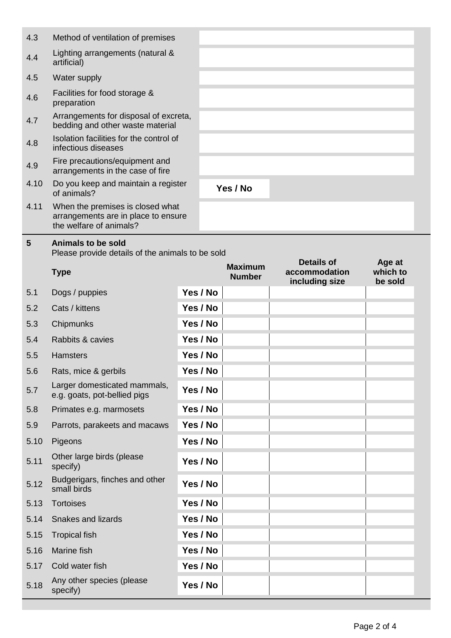|      |                                                                                                    | $M$ ovinsum | Details of | Age at |
|------|----------------------------------------------------------------------------------------------------|-------------|------------|--------|
| 5    | <b>Animals to be sold</b><br>Please provide details of the animals to be sold                      |             |            |        |
| 4.11 | When the premises is closed what<br>arrangements are in place to ensure<br>the welfare of animals? |             |            |        |
| 4.10 | Do you keep and maintain a register<br>of animals?                                                 | Yes / No    |            |        |
| 4.9  | Fire precautions/equipment and<br>arrangements in the case of fire                                 |             |            |        |
| 4.8  | Isolation facilities for the control of<br>infectious diseases                                     |             |            |        |
| 4.7  | Arrangements for disposal of excreta,<br>bedding and other waste material                          |             |            |        |
| 4.6  | Facilities for food storage &<br>preparation                                                       |             |            |        |
| 4.5  | Water supply                                                                                       |             |            |        |
| 4.4  | Lighting arrangements (natural &<br>artificial)                                                    |             |            |        |
| 4.3  | Method of ventilation of premises                                                                  |             |            |        |

|      | <b>Type</b>                                                  |          | <b>Maximum</b><br><b>Number</b> | וט כומווט<br>accommodation<br>including size | ny <del>o</del> al<br>which to<br>be sold |
|------|--------------------------------------------------------------|----------|---------------------------------|----------------------------------------------|-------------------------------------------|
| 5.1  | Dogs / puppies                                               | Yes / No |                                 |                                              |                                           |
| 5.2  | Cats / kittens                                               | Yes / No |                                 |                                              |                                           |
| 5.3  | Chipmunks                                                    | Yes / No |                                 |                                              |                                           |
| 5.4  | Rabbits & cavies                                             | Yes / No |                                 |                                              |                                           |
| 5.5  | <b>Hamsters</b>                                              | Yes / No |                                 |                                              |                                           |
| 5.6  | Rats, mice & gerbils                                         | Yes / No |                                 |                                              |                                           |
| 5.7  | Larger domesticated mammals,<br>e.g. goats, pot-bellied pigs | Yes / No |                                 |                                              |                                           |
| 5.8  | Primates e.g. marmosets                                      | Yes / No |                                 |                                              |                                           |
| 5.9  | Parrots, parakeets and macaws                                | Yes / No |                                 |                                              |                                           |
| 5.10 | Pigeons                                                      | Yes / No |                                 |                                              |                                           |
| 5.11 | Other large birds (please<br>specify)                        | Yes / No |                                 |                                              |                                           |
| 5.12 | Budgerigars, finches and other<br>small birds                | Yes / No |                                 |                                              |                                           |
| 5.13 | <b>Tortoises</b>                                             | Yes / No |                                 |                                              |                                           |
| 5.14 | <b>Snakes and lizards</b>                                    | Yes / No |                                 |                                              |                                           |
| 5.15 | <b>Tropical fish</b>                                         | Yes / No |                                 |                                              |                                           |
| 5.16 | Marine fish                                                  | Yes / No |                                 |                                              |                                           |
| 5.17 | Cold water fish                                              | Yes / No |                                 |                                              |                                           |
| 5.18 | Any other species (please<br>specify)                        | Yes / No |                                 |                                              |                                           |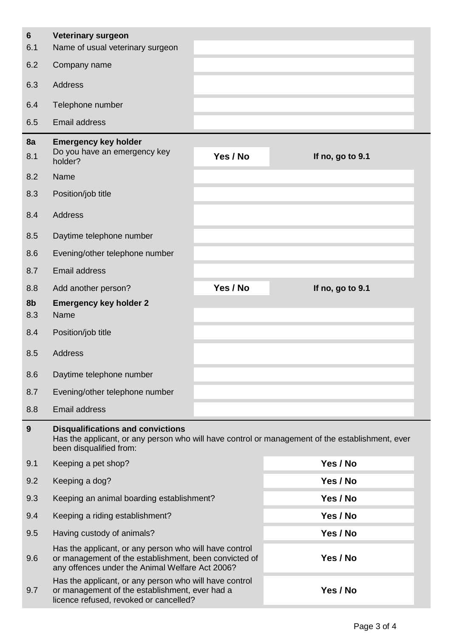| 6<br>6.1  | <b>Veterinary surgeon</b><br>Name of usual veterinary surgeon                                                                                                      |          |                                                                                                 |
|-----------|--------------------------------------------------------------------------------------------------------------------------------------------------------------------|----------|-------------------------------------------------------------------------------------------------|
| 6.2       | Company name                                                                                                                                                       |          |                                                                                                 |
| 6.3       | Address                                                                                                                                                            |          |                                                                                                 |
| 6.4       | Telephone number                                                                                                                                                   |          |                                                                                                 |
| 6.5       | Email address                                                                                                                                                      |          |                                                                                                 |
| 8a<br>8.1 | <b>Emergency key holder</b><br>Do you have an emergency key<br>holder?                                                                                             | Yes / No | If no, go to 9.1                                                                                |
| 8.2       | Name                                                                                                                                                               |          |                                                                                                 |
| 8.3       | Position/job title                                                                                                                                                 |          |                                                                                                 |
| 8.4       | <b>Address</b>                                                                                                                                                     |          |                                                                                                 |
| 8.5       | Daytime telephone number                                                                                                                                           |          |                                                                                                 |
| 8.6       | Evening/other telephone number                                                                                                                                     |          |                                                                                                 |
| 8.7       | <b>Email address</b>                                                                                                                                               |          |                                                                                                 |
| 8.8       | Add another person?                                                                                                                                                | Yes / No | If no, go to 9.1                                                                                |
| 8b<br>8.3 | <b>Emergency key holder 2</b><br>Name                                                                                                                              |          |                                                                                                 |
| 8.4       | Position/job title                                                                                                                                                 |          |                                                                                                 |
| 8.5       | <b>Address</b>                                                                                                                                                     |          |                                                                                                 |
| 8.6       | Daytime telephone number                                                                                                                                           |          |                                                                                                 |
| 8.7       | Evening/other telephone number                                                                                                                                     |          |                                                                                                 |
| 8.8       | Email address                                                                                                                                                      |          |                                                                                                 |
| 9         | <b>Disqualifications and convictions</b><br>been disqualified from:                                                                                                |          | Has the applicant, or any person who will have control or management of the establishment, ever |
| 9.1       | Keeping a pet shop?                                                                                                                                                |          | Yes / No                                                                                        |
| 9.2       | Keeping a dog?                                                                                                                                                     |          | Yes / No                                                                                        |
| 9.3       | Keeping an animal boarding establishment?                                                                                                                          |          | Yes / No                                                                                        |
| 9.4       | Keeping a riding establishment?                                                                                                                                    |          | Yes / No                                                                                        |
| 9.5       | Having custody of animals?                                                                                                                                         |          | Yes / No                                                                                        |
| 9.6       | Has the applicant, or any person who will have control<br>or management of the establishment, been convicted of<br>any offences under the Animal Welfare Act 2006? |          | Yes / No                                                                                        |
| 9.7       | Has the applicant, or any person who will have control<br>or management of the establishment, ever had a<br>licence refused, revoked or cancelled?                 |          | Yes / No                                                                                        |